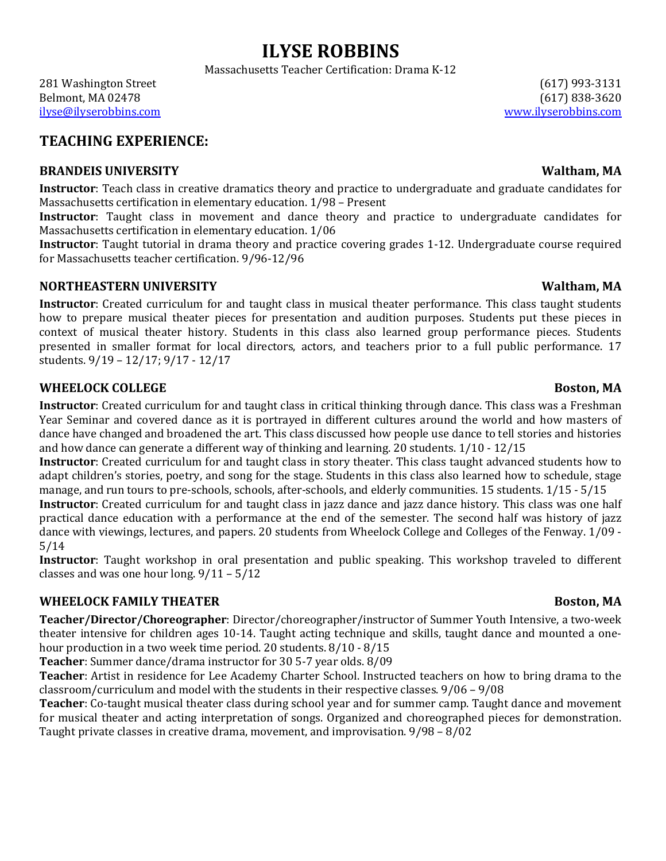Massachusetts Teacher Certification: Drama K-12

281 Washington Street (617) 1993-3131 Belmont, MA 02478 (617) 838-3620 ilyse@ilyserobbins.com www.ilyserobbins.com

# **TEACHING EXPERIENCE:**

## **BRANDEIS UNIVERSITY WALLER IN A SET ON A SET OF A SET OF A SET OF A SET OF A SET OF A SET OF A SET OF A SET OF A SET OF A SET OF A SET OF A SET OF A SET OF A SET OF A SET OF A SET OF A SET OF A SET OF A SET OF A SET OF**

**Instructor**: Teach class in creative dramatics theory and practice to undergraduate and graduate candidates for Massachusetts certification in elementary education. 1/98 - Present

**Instructor**: Taught class in movement and dance theory and practice to undergraduate candidates for Massachusetts certification in elementary education. 1/06

**Instructor**: Taught tutorial in drama theory and practice covering grades 1-12. Undergraduate course required for Massachusetts teacher certification. 9/96-12/96

## **NORTHEASTERN UNIVERSITY WALLER ASSESSED ASSESSED ASSOCIATE WALTHAME WALTHAME WALTHAME ASSESSED ASSOCIATE WALTHAME ASSESSED ASSOCIATE WALTHAME ASSESSED ASSOCIATE WALTHAME ASSOCIATE WALTHAME ASSOCIATE WALTHAME**

**Instructor**: Created curriculum for and taught class in musical theater performance. This class taught students how to prepare musical theater pieces for presentation and audition purposes. Students put these pieces in context of musical theater history. Students in this class also learned group performance pieces. Students presented in smaller format for local directors, actors, and teachers prior to a full public performance. 17 students.  $9/19 - 12/17$ ;  $9/17 - 12/17$ 

## **WHEELOCK COLLEGE BOSTON, MA**

**Instructor**: Created curriculum for and taught class in critical thinking through dance. This class was a Freshman Year Seminar and covered dance as it is portrayed in different cultures around the world and how masters of dance have changed and broadened the art. This class discussed how people use dance to tell stories and histories and how dance can generate a different way of thinking and learning. 20 students.  $1/10 - 12/15$ 

**Instructor**: Created curriculum for and taught class in story theater. This class taught advanced students how to adapt children's stories, poetry, and song for the stage. Students in this class also learned how to schedule, stage manage, and run tours to pre-schools, schools, after-schools, and elderly communities. 15 students. 1/15 - 5/15

**Instructor**: Created curriculum for and taught class in jazz dance and jazz dance history. This class was one half practical dance education with a performance at the end of the semester. The second half was history of jazz dance with viewings, lectures, and papers. 20 students from Wheelock College and Colleges of the Fenway. 1/09 -5/14

**Instructor**: Taught workshop in oral presentation and public speaking. This workshop traveled to different classes and was one hour long.  $9/11 - 5/12$ 

# **WHEELOCK FAMILY THEATER BOSTON, MA**

**Teacher/Director/Choreographer**: Director/choreographer/instructor of Summer Youth Intensive, a two-week theater intensive for children ages 10-14. Taught acting technique and skills, taught dance and mounted a onehour production in a two week time period. 20 students.  $8/10 - 8/15$ 

**Teacher**: Summer dance/drama instructor for 30 5-7 year olds. 8/09

Teacher: Artist in residence for Lee Academy Charter School. Instructed teachers on how to bring drama to the classroom/curriculum and model with the students in their respective classes.  $9/06 - 9/08$ 

**Teacher**: Co-taught musical theater class during school year and for summer camp. Taught dance and movement for musical theater and acting interpretation of songs. Organized and choreographed pieces for demonstration. Taught private classes in creative drama, movement, and improvisation.  $9/98 - 8/02$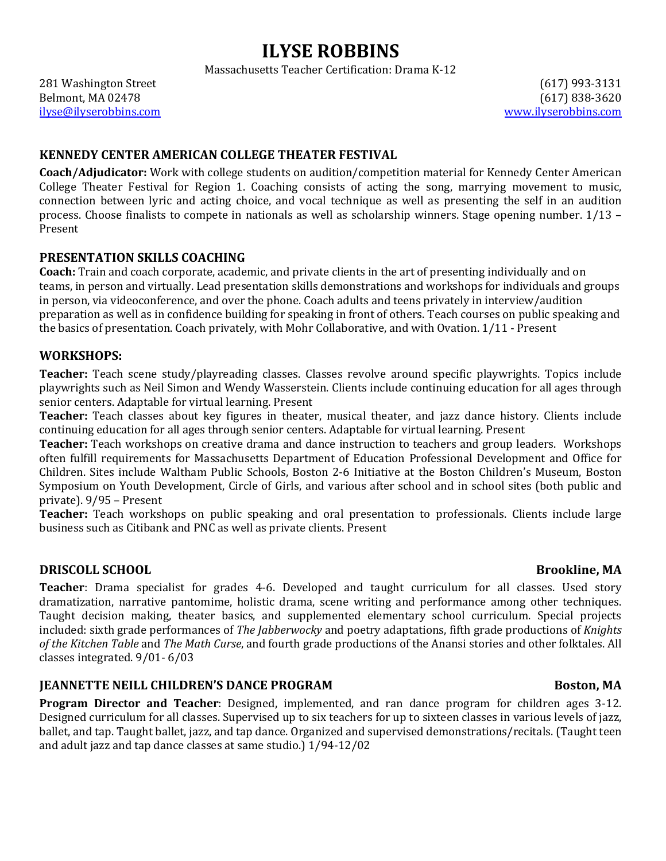Massachusetts Teacher Certification: Drama K-12

281 Washington Street (617) 1993-3131 Belmont, MA 02478 (617) 838-3620 ilyse@ilyserobbins.com www.ilyserobbins.com

## **KENNEDY CENTER AMERICAN COLLEGE THEATER FESTIVAL**

**Coach/Adjudicator:** Work with college students on audition/competition material for Kennedy Center American College Theater Festival for Region 1. Coaching consists of acting the song, marrying movement to music, connection between lyric and acting choice, and vocal technique as well as presenting the self in an audition process. Choose finalists to compete in nationals as well as scholarship winners. Stage opening number. 1/13 -Present

### **PRESENTATION SKILLS COACHING**

**Coach:** Train and coach corporate, academic, and private clients in the art of presenting individually and on teams, in person and virtually. Lead presentation skills demonstrations and workshops for individuals and groups in person, via videoconference, and over the phone. Coach adults and teens privately in interview/audition preparation as well as in confidence building for speaking in front of others. Teach courses on public speaking and the basics of presentation. Coach privately, with Mohr Collaborative, and with Ovation.  $1/11$  - Present

### **WORKSHOPS:**

**Teacher:** Teach scene study/playreading classes. Classes revolve around specific playwrights. Topics include playwrights such as Neil Simon and Wendy Wasserstein. Clients include continuing education for all ages through senior centers. Adaptable for virtual learning. Present

**Teacher:** Teach classes about key figures in theater, musical theater, and jazz dance history. Clients include continuing education for all ages through senior centers. Adaptable for virtual learning. Present

**Teacher:** Teach workshops on creative drama and dance instruction to teachers and group leaders. Workshops often fulfill requirements for Massachusetts Department of Education Professional Development and Office for Children. Sites include Waltham Public Schools, Boston 2-6 Initiative at the Boston Children's Museum, Boston Symposium on Youth Development, Circle of Girls, and various after school and in school sites (both public and private). 9/95 – Present

Teacher: Teach workshops on public speaking and oral presentation to professionals. Clients include large business such as Citibank and PNC as well as private clients. Present

### **DRISCOLL SCHOOL Brookline**, MA

**Teacher**: Drama specialist for grades 4-6. Developed and taught curriculum for all classes. Used story dramatization, narrative pantomime, holistic drama, scene writing and performance among other techniques. Taught decision making, theater basics, and supplemented elementary school curriculum. Special projects included: sixth grade performances of *The Jabberwocky* and poetry adaptations, fifth grade productions of *Knights* of the Kitchen Table and The Math Curse, and fourth grade productions of the Anansi stories and other folktales. All classes integrated. 9/01-6/03

## **IEANNETTE NEILL CHILDREN'S DANCE PROGRAM BOSTON BOSTON, MA**

**Program Director and Teacher**: Designed, implemented, and ran dance program for children ages 3-12. Designed curriculum for all classes. Supervised up to six teachers for up to sixteen classes in various levels of jazz, ballet, and tap. Taught ballet, jazz, and tap dance. Organized and supervised demonstrations/recitals. (Taught teen and adult jazz and tap dance classes at same studio.) 1/94-12/02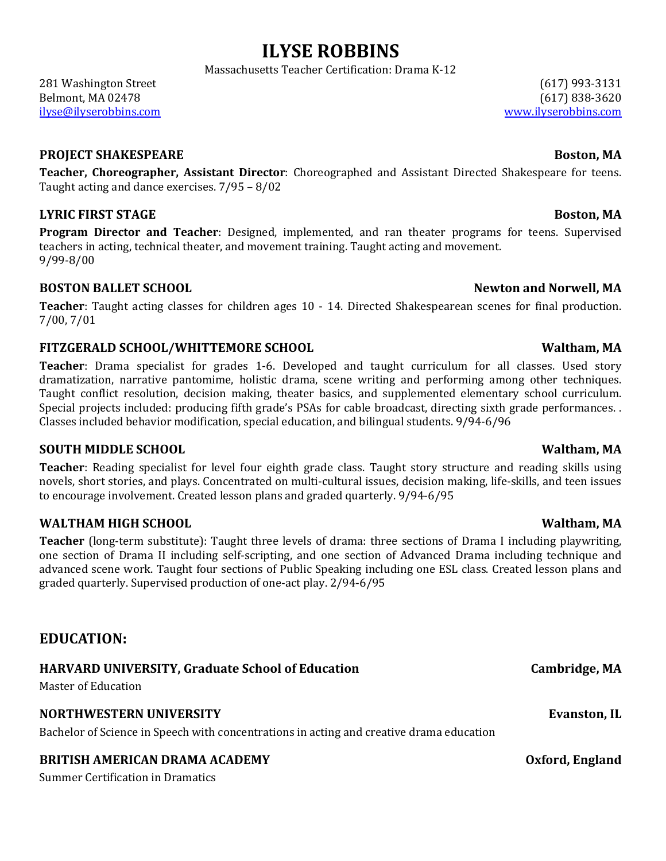Massachusetts Teacher Certification: Drama K-12

281 Washington Street (617) 1993-3131 Belmont, MA 02478 (617) 838-3620 ilyse@ilyserobbins.com www.ilyserobbins.com

### **PROJECT SHAKESPEARE BOSTON**

Teacher, Choreographer, Assistant Director: Choreographed and Assistant Directed Shakespeare for teens. Taught acting and dance exercises.  $7/95 - 8/02$ 

## **LYRIC FIRST STAGE Boston, MA**

**Program Director and Teacher**: Designed, implemented, and ran theater programs for teens. Supervised teachers in acting, technical theater, and movement training. Taught acting and movement. 9/99-8/00

## **BOSTON BALLET SCHOOL Newton** and Norwell, MA

**Teacher**: Taught acting classes for children ages 10 - 14. Directed Shakespearean scenes for final production. 7/00, 7/01

## **FITZGERALD SCHOOL/WHITTEMORE SCHOOL Waltham, MA**

**Teacher**: Drama specialist for grades 1-6. Developed and taught curriculum for all classes. Used story dramatization, narrative pantomime, holistic drama, scene writing and performing among other techniques. Taught conflict resolution, decision making, theater basics, and supplemented elementary school curriculum. Special projects included: producing fifth grade's PSAs for cable broadcast, directing sixth grade performances. . Classes included behavior modification, special education, and bilingual students. 9/94-6/96

## **SOUTH MIDDLE SCHOOL All the SCHOOL COUTH MIDDLE SCHOOL WALLEN**

Teacher: Reading specialist for level four eighth grade class. Taught story structure and reading skills using novels, short stories, and plays. Concentrated on multi-cultural issues, decision making, life-skills, and teen issues to encourage involvement. Created lesson plans and graded quarterly. 9/94-6/95

## **WALTHAM HIGH SCHOOL WALTHAM HIGH SCHOOL**

**Teacher** (long-term substitute): Taught three levels of drama: three sections of Drama I including playwriting, one section of Drama II including self-scripting, and one section of Advanced Drama including technique and advanced scene work. Taught four sections of Public Speaking including one ESL class. Created lesson plans and graded quarterly. Supervised production of one-act play. 2/94-6/95

# **EDUCATION:**

# **HARVARD UNIVERSITY, Graduate School of Education Cambridge, MA**

Master of Education

## **NORTHWESTERN UNIVERSITY Evanston, IL**

Bachelor of Science in Speech with concentrations in acting and creative drama education

# **BRITISH AMERICAN DRAMA ACADEMY CONSUMING A CADEMY Oxford, England**

Summer Certification in Dramatics